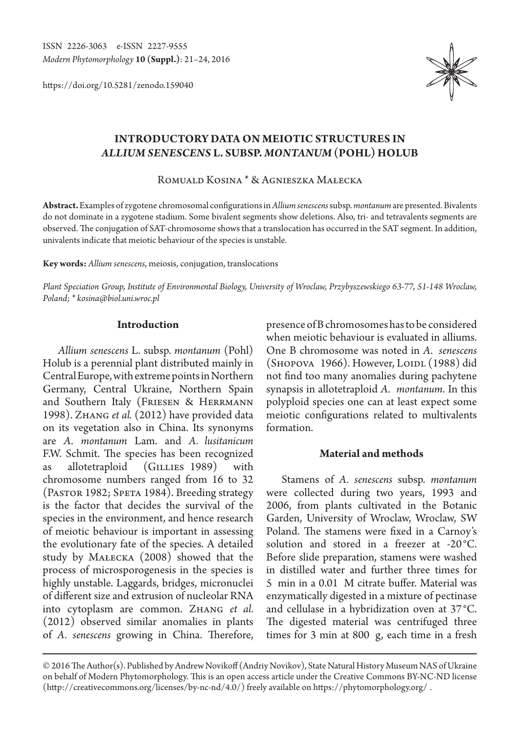ISSN 2226-3063 e-ISSN 2227-9555 *Modern Phytomorphology* **10 (Suppl.)**: 21–24, 2016

https://doi.org/10.5281/zenodo.159040



# **INTRODUCTORY DATA ON MEIOTIC STRUCTURES IN**  *ALLIUM SENESCENS* **L. SUBSP.** *MONTANUM* **(POHL) HOLUB**

Romuald Kosina \* & Agnieszka Małecka

**Abstract.** Examples of zygotene chromosomal configurations in *Allium senescens* subsp. *montanum* are presented. Bivalents do not dominate in a zygotene stadium. Some bivalent segments show deletions. Also, tri- and tetravalents segments are observed. The conjugation of SAT-chromosome shows that a translocation has occurred in the SAT segment. In addition, univalents indicate that meiotic behaviour of the species is unstable.

**Key words:** *Allium senescens*, meiosis, conjugation, translocations

*Plant Speciation Group, Institute of Environmental Biology, University of Wroclaw, Przybyszewskiego 63-77, 51-148 Wroclaw, Poland; \* kosina@biol.uni.wroc.pl*

# **Introduction**

*Allium senescens* L. subsp. *montanum* (Pohl) Holub is a perennial plant distributed mainly in Central Europe, with extreme points in Northern Germany, Central Ukraine, Northern Spain and Southern Italy (Friesen & Herrmann 1998). Zhang *et al.* (2012) have provided data on its vegetation also in China. Its synonyms are *A. montanum* Lam. and *A. lusitanicum* F.W. Schmit. The species has been recognized<br>as allotetraploid (GILLIES 1989) with as allotetraploid (GILLIES 1989) with chromosome numbers ranged from 16 to 32 (Pastor 1982; Speta 1984). Breeding strategy is the factor that decides the survival of the species in the environment, and hence research of meiotic behaviour is important in assessing the evolutionary fate of the species. A detailed study by Małecka (2008) showed that the process of microsporogenesis in the species is highly unstable. Laggards, bridges, micronuclei of different size and extrusion of nucleolar RNA into cytoplasm are common. Zhang *et al.*  (2012) observed similar anomalies in plants of *A. senescens* growing in China. Therefore,

presence of B chromosomes has to be considered when meiotic behaviour is evaluated in alliums. One B chromosome was noted in *A. senescens*   $(SHOPOVA 1966)$ . However, LOIDL  $(1988)$  did not find too many anomalies during pachytene synapsis in allotetraploid *A. montanum*. In this polyploid species one can at least expect some meiotic configurations related to multivalents formation.

### **Material and methods**

Stamens of *A. senescens* subsp. *montanum* were collected during two years, 1993 and 2006, from plants cultivated in the Botanic Garden, University of Wroclaw, Wroclaw, SW Poland. The stamens were fixed in a Carnoy's solution and stored in a freezer at -20 °C. Before slide preparation, stamens were washed in distilled water and further three times for 5 min in a 0.01 M citrate buffer. Material was enzymatically digested in a mixture of pectinase and cellulase in a hybridization oven at 37 °C. The digested material was centrifuged three times for 3 min at 800 g, each time in a fresh

<sup>© 2016</sup> The Author(s). Published by Andrew Novikoff (Andriy Novikov), State Natural History Museum NAS of Ukraine on behalf of Modern Phytomorphology. This is an open access article under the Creative Commons BY-NC-ND license (http://creativecommons.org/licenses/by-nc-nd/4.0/) freely available on https://phytomorphology.org/ .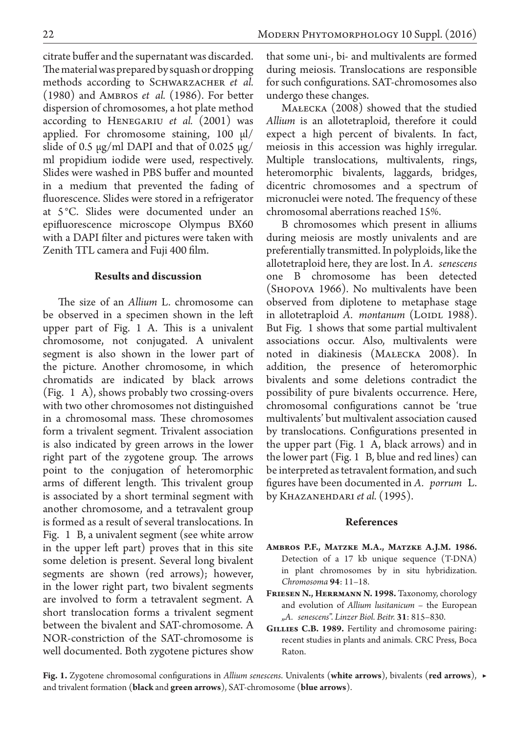citrate buffer and the supernatant was discarded. The material was prepared by squash or dropping methods according to SCHWARZACHER et al. (1980) and Ambros *et al.* (1986). For better dispersion of chromosomes, a hot plate method according to Henegariu *et al.* (2001) was applied. For chromosome staining, 100 µl/ slide of 0.5  $\mu$ g/ml DAPI and that of 0.025  $\mu$ g/ ml propidium iodide were used, respectively. Slides were washed in PBS buffer and mounted in a medium that prevented the fading of fluorescence. Slides were stored in a refrigerator at 5 °C. Slides were documented under an epifluorescence microscope Olympus BX60 with a DAPI filter and pictures were taken with Zenith TTL camera and Fuji 400 film.

## **Results and discussion**

The size of an *Allium* L. chromosome can be observed in a specimen shown in the left upper part of Fig. 1 A. This is a univalent chromosome, not conjugated. A univalent segment is also shown in the lower part of the picture. Another chromosome, in which chromatids are indicated by black arrows (Fig. 1 A), shows probably two crossing-overs with two other chromosomes not distinguished in a chromosomal mass. These chromosomes form a trivalent segment. Trivalent association is also indicated by green arrows in the lower right part of the zygotene group. The arrows point to the conjugation of heteromorphic arms of different length. This trivalent group is associated by a short terminal segment with another chromosome, and a tetravalent group is formed as a result of several translocations. In Fig. 1 B, a univalent segment (see white arrow in the upper left part) proves that in this site some deletion is present. Several long bivalent segments are shown (red arrows); however, in the lower right part, two bivalent segments are involved to form a tetravalent segment. A short translocation forms a trivalent segment between the bivalent and SAT-chromosome. A NOR-constriction of the SAT-chromosome is well documented. Both zygotene pictures show that some uni-, bi- and multivalents are formed during meiosis. Translocations are responsible for such configurations. SAT-chromosomes also undergo these changes.

MAŁECKA (2008) showed that the studied *Allium* is an allotetraploid, therefore it could expect a high percent of bivalents. In fact, meiosis in this accession was highly irregular. Multiple translocations, multivalents, rings, heteromorphic bivalents, laggards, bridges, dicentric chromosomes and a spectrum of micronuclei were noted. The frequency of these chromosomal aberrations reached 15%.

B chromosomes which present in alliums during meiosis are mostly univalents and are preferentially transmitted. In polyploids, like the allotetraploid here, they are lost. In *A. senescens* one B chromosome has been detected (Shopova 1966). No multivalents have been observed from diplotene to metaphase stage in allotetraploid A. *montanum* (LOIDL 1988). But Fig. 1 shows that some partial multivalent associations occur. Also, multivalents were noted in diakinesis (Małecka 2008). In addition, the presence of heteromorphic bivalents and some deletions contradict the possibility of pure bivalents occurrence. Here, chromosomal configurations cannot be 'true multivalents' but multivalent association caused by translocations. Configurations presented in the upper part (Fig. 1 A, black arrows) and in the lower part (Fig. 1 B, blue and red lines) can be interpreted as tetravalent formation, and such figures have been documented in *A. porrum* L. by Khazanehdari *et al.* (1995).

#### **References**

- **Ambros P.F., Matzke M.A., Matzke A.J.M. 1986.** Detection of a 17 kb unique sequence (T-DNA) in plant chromosomes by in situ hybridization. *Chromosoma* **94**: 11–18.
- **Friesen N., Herrmann N. 1998.** Taxonomy, chorology and evolution of *Allium lusitanicum* – the European "*A. senescens*". *Linzer Biol. Beitr.* **31**: 815–830.
- GILLIES C.B. 1989. Fertility and chromosome pairing: recent studies in plants and animals. CRC Press, Boca Raton.

**Fig. 1.** Zygotene chromosomal configurations in *Allium senescens*. Univalents (**white arrows**), bivalents (**red arrows**), ▶and trivalent formation (**black** and **green arrows**), SAT-chromosome (**blue arrows**).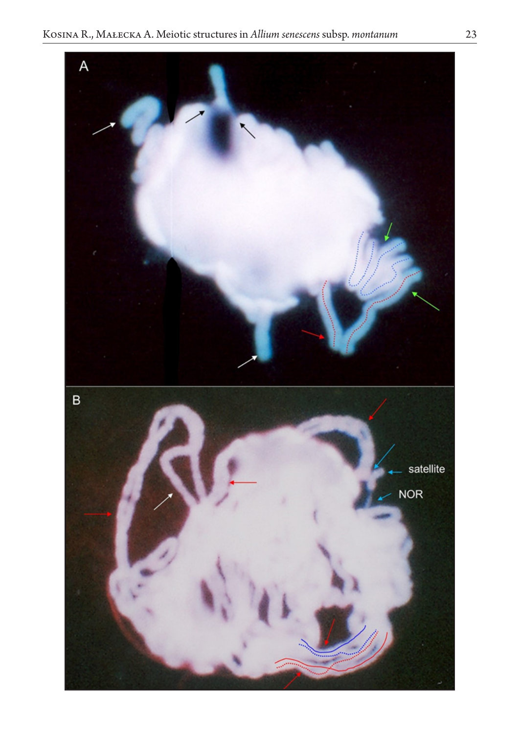